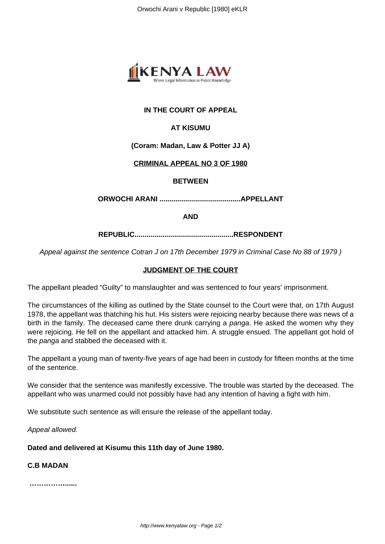

# **IN THE COURT OF APPEAL**

## **AT KISUMU**

#### **(Coram: Madan, Law & Potter JJ A)**

#### **CRIMINAL APPEAL NO 3 OF 1980**

#### **BETWEEN**

**ORWOCHI ARANI .........................................APPELLANT**

**AND**

**REPUBLIC..................................................RESPONDENT**

Appeal against the sentence Cotran J on 17th December 1979 in Criminal Case No 88 of 1979 )

## **JUDGMENT OF THE COURT**

The appellant pleaded "Guilty" to manslaughter and was sentenced to four years' imprisonment.

The circumstances of the killing as outlined by the State counsel to the Court were that, on 17th August 1978, the appellant was thatching his hut. His sisters were rejoicing nearby because there was news of a birth in the family. The deceased came there drunk carrying a panga. He asked the women why they were rejoicing. He fell on the appellant and attacked him. A struggle ensued. The appellant got hold of the *panga* and stabbed the deceased with it.

The appellant a young man of twenty-five years of age had been in custody for fifteen months at the time of the sentence.

We consider that the sentence was manifestly excessive. The trouble was started by the deceased. The appellant who was unarmed could not possibly have had any intention of having a fight with him.

We substitute such sentence as will ensure the release of the appellant today.

Appeal allowed.

**Dated and delivered at Kisumu this 11th day of June 1980.**

**C.B MADAN**

**……………......**